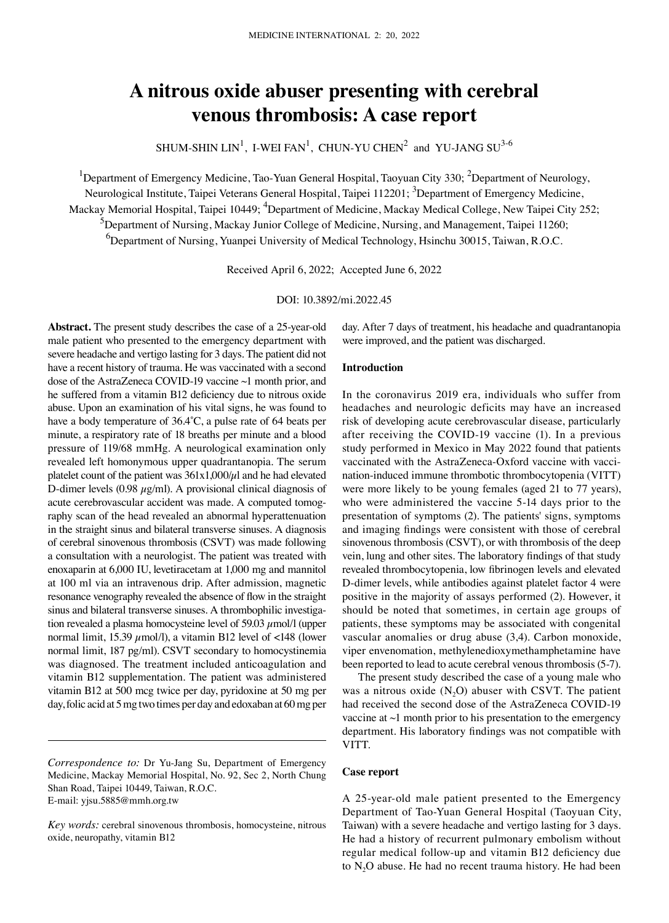# **A nitrous oxide abuser presenting with cerebral venous thrombosis: A case report**

SHUM-SHIN  $LIN^1$ , I-WEI FAN<sup>1</sup>, CHUN-YU CHEN<sup>2</sup> and YU-JANG  $SU^{3-6}$ 

<sup>1</sup>Department of Emergency Medicine, Tao-Yuan General Hospital, Taoyuan City 330; <sup>2</sup>Department of Neurology, Neurological Institute, Taipei Veterans General Hospital, Taipei 112201; <sup>3</sup>Department of Emergency Medicine, Mackay Memorial Hospital, Taipei 10449; <sup>4</sup>Department of Medicine, Mackay Medical College, New Taipei City 252; <sup>5</sup>Department of Nursing, Mackay Junior College of Medicine, Nursing, and Management, Taipei 11260; 6 Department of Nursing, Yuanpei University of Medical Technology, Hsinchu 30015, Taiwan, R.O.C.

Received April 6, 2022; Accepted June 6, 2022

### DOI: 10.3892/mi.2022.45

Abstract. The present study describes the case of a 25-year-old male patient who presented to the emergency department with severe headache and vertigo lasting for 3 days. The patient did not have a recent history of trauma. He was vaccinated with a second dose of the AstraZeneca COVID‑19 vaccine ~1 month prior, and he suffered from a vitamin B12 deficiency due to nitrous oxide abuse. Upon an examination of his vital signs, he was found to have a body temperature of 36.4˚C, a pulse rate of 64 beats per minute, a respiratory rate of 18 breaths per minute and a blood pressure of 119/68 mmHg. A neurological examination only revealed left homonymous upper quadrantanopia. The serum platelet count of the patient was  $361x1,000/\mu$ l and he had elevated D-dimer levels  $(0.98 \mu g/ml)$ . A provisional clinical diagnosis of acute cerebrovascular accident was made. A computed tomography scan of the head revealed an abnormal hyperattenuation in the straight sinus and bilateral transverse sinuses. A diagnosis of cerebral sinovenous thrombosis (CSVT) was made following a consultation with a neurologist. The patient was treated with enoxaparin at 6,000 IU, levetiracetam at 1,000 mg and mannitol at 100 ml via an intravenous drip. After admission, magnetic resonance venography revealed the absence of flow in the straight sinus and bilateral transverse sinuses. A thrombophilic investigation revealed a plasma homocysteine level of 59.03  $\mu$ mol/l (upper normal limit, 15.39  $\mu$ mol/l), a vitamin B12 level of <148 (lower normal limit, 187 pg/ml). CSVT secondary to homocystinemia was diagnosed. The treatment included anticoagulation and vitamin B12 supplementation. The patient was administered vitamin B12 at 500 mcg twice per day, pyridoxine at 50 mg per day, folic acid at 5mg two times per day and edoxaban at 60mg per day. After 7 days of treatment, his headache and quadrantanopia were improved, and the patient was discharged.

# **Introduction**

In the coronavirus 2019 era, individuals who suffer from headaches and neurologic deficits may have an increased risk of developing acute cerebrovascular disease, particularly after receiving the COVID‑19 vaccine (1). In a previous study performed in Mexico in May 2022 found that patients vaccinated with the AstraZeneca-Oxford vaccine with vaccination-induced immune thrombotic thrombocytopenia (VITT) were more likely to be young females (aged 21 to 77 years), who were administered the vaccine 5-14 days prior to the presentation of symptoms (2). The patients' signs, symptoms and imaging findings were consistent with those of cerebral sinovenous thrombosis (CSVT), or with thrombosis of the deep vein, lung and other sites. The laboratory findings of that study revealed thrombocytopenia, low fibrinogen levels and elevated D‑dimer levels, while antibodies against platelet factor 4 were positive in the majority of assays performed (2). However, it should be noted that sometimes, in certain age groups of patients, these symptoms may be associated with congenital vascular anomalies or drug abuse (3,4). Carbon monoxide, viper envenomation, methylenedioxymethamphetamine have been reported to lead to acute cerebral venous thrombosis (5‑7).

The present study described the case of a young male who was a nitrous oxide  $(N_2O)$  abuser with CSVT. The patient had received the second dose of the AstraZeneca COVID-19 vaccine at ~1 month prior to his presentation to the emergency department. His laboratory findings was not compatible with VITT.

## **Case report**

A 25‑year‑old male patient presented to the Emergency Department of Tao‑Yuan General Hospital (Taoyuan City, Taiwan) with a severe headache and vertigo lasting for 3 days. He had a history of recurrent pulmonary embolism without regular medical follow‑up and vitamin B12 deficiency due to  $N<sub>2</sub>O$  abuse. He had no recent trauma history. He had been

*Correspondence to:* Dr Yu‑Jang Su, Department of Emergency Medicine, Mackay Memorial Hospital, No. 92, Sec 2, North Chung Shan Road, Taipei 10449, Taiwan, R.O.C. E‑mail: yjsu.5885@mmh.org.tw

*Key words:* cerebral sinovenous thrombosis, homocysteine, nitrous oxide, neuropathy, vitamin B12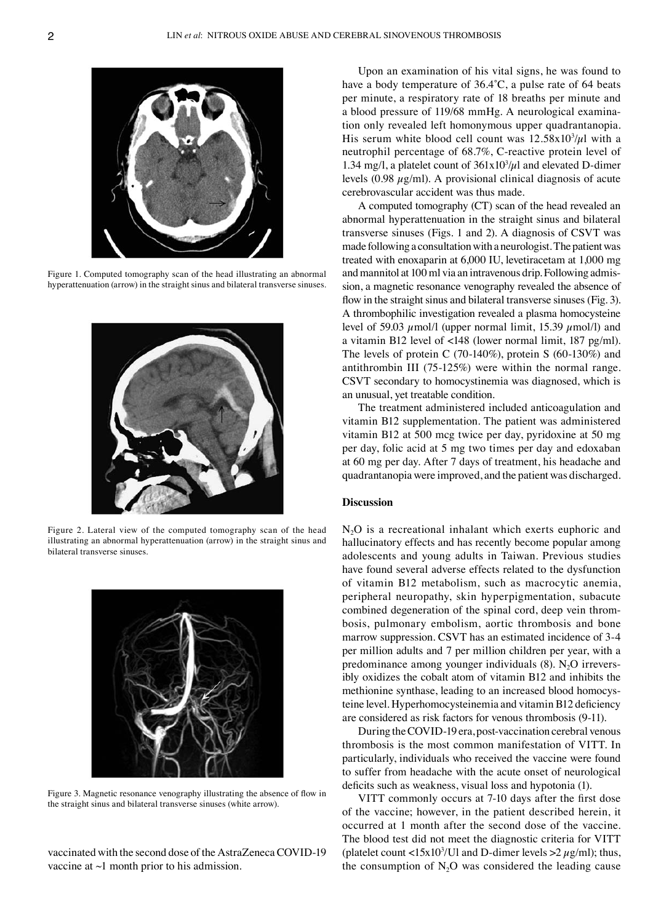

Figure 1. Computed tomography scan of the head illustrating an abnormal hyperattenuation (arrow) in the straight sinus and bilateral transverse sinuses.



Figure 2. Lateral view of the computed tomography scan of the head illustrating an abnormal hyperattenuation (arrow) in the straight sinus and bilateral transverse sinuses.



Figure 3. Magnetic resonance venography illustrating the absence of flow in the straight sinus and bilateral transverse sinuses (white arrow).

vaccinated with the second dose of the AstraZeneca COVID-19 vaccine at ~1 month prior to his admission.

Upon an examination of his vital signs, he was found to have a body temperature of 36.4˚C, a pulse rate of 64 beats per minute, a respiratory rate of 18 breaths per minute and a blood pressure of 119/68 mmHg. A neurological examination only revealed left homonymous upper quadrantanopia. His serum white blood cell count was  $12.58 \times 10^3/\mu$ l with a neutrophil percentage of 68.7%, C‑reactive protein level of 1.34 mg/l, a platelet count of  $361x10<sup>3</sup>/\mu$ l and elevated D-dimer levels  $(0.98 \mu g/ml)$ . A provisional clinical diagnosis of acute cerebrovascular accident was thus made.

A computed tomography (CT) scan of the head revealed an abnormal hyperattenuation in the straight sinus and bilateral transverse sinuses (Figs. 1 and 2). A diagnosis of CSVT was made following a consultation with a neurologist. The patient was treated with enoxaparin at 6,000 IU, levetiracetam at 1,000 mg and mannitol at 100 ml via an intravenous drip. Following admission, a magnetic resonance venography revealed the absence of flow in the straight sinus and bilateral transverse sinuses (Fig. 3). A thrombophilic investigation revealed a plasma homocysteine level of 59.03  $\mu$ mol/l (upper normal limit, 15.39  $\mu$ mol/l) and a vitamin B12 level of <148 (lower normal limit, 187 pg/ml). The levels of protein C (70-140%), protein S (60-130%) and antithrombin III (75‑125%) were within the normal range. CSVT secondary to homocystinemia was diagnosed, which is an unusual, yet treatable condition.

The treatment administered included anticoagulation and vitamin B12 supplementation. The patient was administered vitamin B12 at 500 mcg twice per day, pyridoxine at 50 mg per day, folic acid at 5 mg two times per day and edoxaban at 60 mg per day. After 7 days of treatment, his headache and quadrantanopia were improved, and the patient was discharged.

## **Discussion**

 $N<sub>2</sub>O$  is a recreational inhalant which exerts euphoric and hallucinatory effects and has recently become popular among adolescents and young adults in Taiwan. Previous studies have found several adverse effects related to the dysfunction of vitamin B12 metabolism, such as macrocytic anemia, peripheral neuropathy, skin hyperpigmentation, subacute combined degeneration of the spinal cord, deep vein thrombosis, pulmonary embolism, aortic thrombosis and bone marrow suppression. CSVT has an estimated incidence of 3‑4 per million adults and 7 per million children per year, with a predominance among younger individuals  $(8)$ . N<sub>2</sub>O irrevers– ibly oxidizes the cobalt atom of vitamin B12 and inhibits the methionine synthase, leading to an increased blood homocysteine level. Hyperhomocysteinemia and vitamin B12 deficiency are considered as risk factors for venous thrombosis (9‑11).

During the COVID‑19 era, post‑vaccination cerebral venous thrombosis is the most common manifestation of VITT. In particularly, individuals who received the vaccine were found to suffer from headache with the acute onset of neurological deficits such as weakness, visual loss and hypotonia (1).

VITT commonly occurs at 7‑10 days after the first dose of the vaccine; however, in the patient described herein, it occurred at 1 month after the second dose of the vaccine. The blood test did not meet the diagnostic criteria for VITT (platelet count <15x10<sup>3</sup>/Ul and D-dimer levels >2 $\mu$ g/ml); thus, the consumption of  $N_2O$  was considered the leading cause